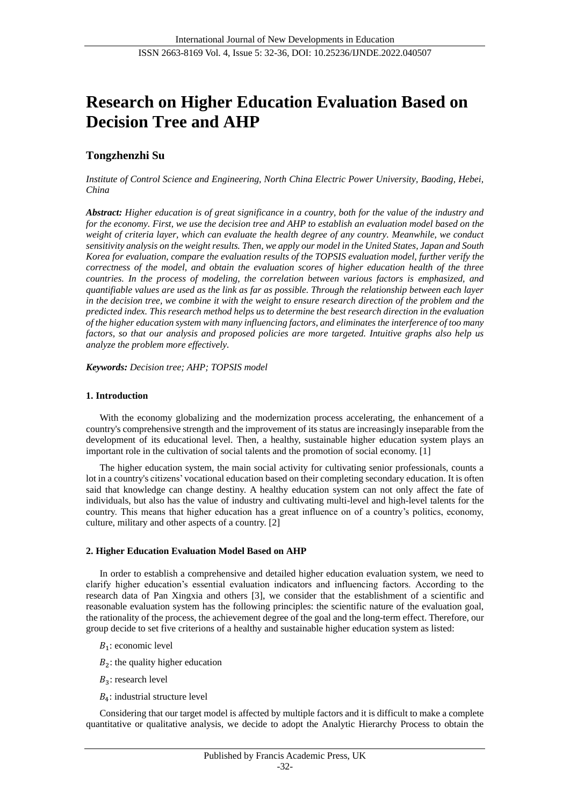# **Research on Higher Education Evaluation Based on Decision Tree and AHP**

# **Tongzhenzhi Su**

*Institute of Control Science and Engineering, North China Electric Power University, Baoding, Hebei, China*

*Abstract: Higher education is of great significance in a country, both for the value of the industry and for the economy. First, we use the decision tree and AHP to establish an evaluation model based on the weight of criteria layer, which can evaluate the health degree of any country. Meanwhile, we conduct sensitivity analysis on the weight results. Then, we apply our model in the United States, Japan and South Korea for evaluation, compare the evaluation results of the TOPSIS evaluation model, further verify the correctness of the model, and obtain the evaluation scores of higher education health of the three countries. In the process of modeling, the correlation between various factors is emphasized, and quantifiable values are used as the link as far as possible. Through the relationship between each layer in the decision tree, we combine it with the weight to ensure research direction of the problem and the predicted index. This research method helps us to determine the best research direction in the evaluation of the higher education system with many influencing factors, and eliminates the interference of too many factors, so that our analysis and proposed policies are more targeted. Intuitive graphs also help us analyze the problem more effectively.*

*Keywords: Decision tree; AHP; TOPSIS model*

#### **1. Introduction**

With the economy globalizing and the modernization process accelerating, the enhancement of a country's comprehensive strength and the improvement of its status are increasingly inseparable from the development of its educational level. Then, a healthy, sustainable higher education system plays an important role in the cultivation of social talents and the promotion of social economy. [1]

The higher education system, the main social activity for cultivating senior professionals, counts a lot in a country's citizens' vocational education based on their completing secondary education. It is often said that knowledge can change destiny. A healthy education system can not only affect the fate of individuals, but also has the value of industry and cultivating multi-level and high-level talents for the country. This means that higher education has a great influence on of a country's politics, economy, culture, military and other aspects of a country. [2]

#### **2. Higher Education Evaluation Model Based on AHP**

In order to establish a comprehensive and detailed higher education evaluation system, we need to clarify higher education's essential evaluation indicators and influencing factors. According to the research data of Pan Xingxia and others [3], we consider that the establishment of a scientific and reasonable evaluation system has the following principles: the scientific nature of the evaluation goal, the rationality of the process, the achievement degree of the goal and the long-term effect. Therefore, our group decide to set five criterions of a healthy and sustainable higher education system as listed:

- $B_1$ : economic level
- $B_2$ : the quality higher education
- $B_3$ : research level
- $B_4$ : industrial structure level

Considering that our target model is affected by multiple factors and it is difficult to make a complete quantitative or qualitative analysis, we decide to adopt the Analytic Hierarchy Process to obtain the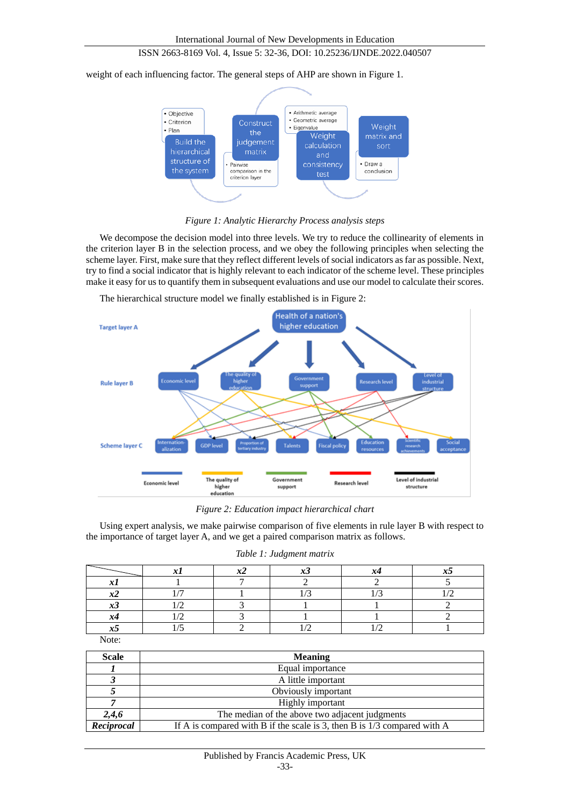## ISSN 2663-8169 Vol. 4, Issue 5: 32-36, DOI: 10.25236/IJNDE.2022.040507

weight of each influencing factor. The general steps of AHP are shown in Figure 1.



*Figure 1: Analytic Hierarchy Process analysis steps*

We decompose the decision model into three levels. We try to reduce the collinearity of elements in the criterion layer B in the selection process, and we obey the following principles when selecting the scheme layer. First, make sure that they reflect different levels of social indicators as far as possible. Next, try to find a social indicator that is highly relevant to each indicator of the scheme level. These principles make it easy for us to quantify them in subsequent evaluations and use our model to calculate their scores.



The hierarchical structure model we finally established is in Figure 2:

*Figure 2: Education impact hierarchical chart*

Using expert analysis, we make pairwise comparison of five elements in rule layer B with respect to the importance of target layer A, and we get a paired comparison matrix as follows.

|              |  | . . |  |
|--------------|--|-----|--|
|              |  |     |  |
|              |  |     |  |
|              |  |     |  |
| へこ           |  |     |  |
| $\mathbf{x}$ |  |     |  |
| ぇ            |  |     |  |

*Table 1: Judgment matrix*

Note:

| <b>Scale</b> | <b>Meaning</b>                                                             |  |  |
|--------------|----------------------------------------------------------------------------|--|--|
|              | Equal importance                                                           |  |  |
|              | A little important                                                         |  |  |
|              | Obviously important                                                        |  |  |
|              | Highly important                                                           |  |  |
| 2,4,6        | The median of the above two adjacent judgments                             |  |  |
| Reciprocal   | If A is compared with B if the scale is 3, then B is $1/3$ compared with A |  |  |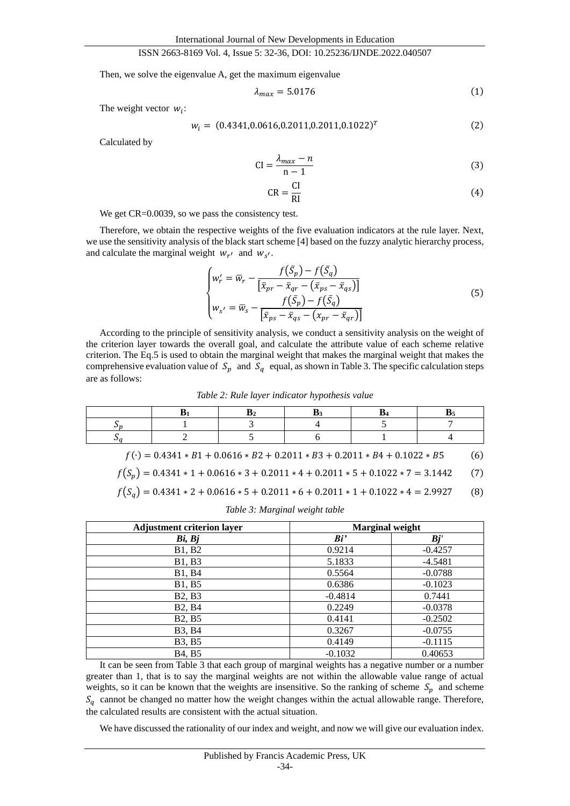#### ISSN 2663-8169 Vol. 4, Issue 5: 32-36, DOI: 10.25236/IJNDE.2022.040507

Then, we solve the eigenvalue A, get the maximum eigenvalue

$$
\lambda_{max} = 5.0176 \tag{1}
$$

The weight vector  $w_i$ :

$$
w_i = (0.4341, 0.0616, 0.2011, 0.2011, 0.1022)^T
$$
 (2)

Calculated by

$$
CI = \frac{\lambda_{max} - n}{n - 1} \tag{3}
$$

$$
CR = \frac{CI}{RI}
$$
 (4)

We get CR=0.0039, so we pass the consistency test.

Therefore, we obtain the respective weights of the five evaluation indicators at the rule layer. Next, we use the sensitivity analysis of the black start scheme [4] based on the fuzzy analytic hierarchy process, and calculate the marginal weight  $w_{r'}$  and  $w_{s'}$ .

$$
\begin{cases}\nw_r' = \overline{w}_r - \frac{f(\overline{S}_p) - f(\overline{S}_q)}{[\overline{x}_{pr} - \overline{x}_{qr} - (\overline{x}_{ps} - \overline{x}_{qs})]} \\
w_{s'} = \overline{w}_s - \frac{f(\overline{S}_p) - f(\overline{S}_q)}{[\overline{x}_{ps} - \overline{x}_{qs} - (x_{pr} - \overline{x}_{qr})]}\n\end{cases}
$$
\n(5)

According to the principle of sensitivity analysis, we conduct a sensitivity analysis on the weight of the criterion layer towards the overall goal, and calculate the attribute value of each scheme relative criterion. The Eq.5 is used to obtain the marginal weight that makes the marginal weight that makes the comprehensive evaluation value of  $S_p$  and  $S_q$  equal, as shown in Table 3. The specific calculation steps are as follows:

*Table 2: Rule layer indicator hypothesis value*

$$
f(\cdot) = 0.4341 * B1 + 0.0616 * B2 + 0.2011 * B3 + 0.2011 * B4 + 0.1022 * B5
$$
 (6)

$$
f(S_p) = 0.4341 \times 1 + 0.0616 \times 3 + 0.2011 \times 4 + 0.2011 \times 5 + 0.1022 \times 7 = 3.1442
$$
 (7)

$$
f(S_q) = 0.4341 \times 2 + 0.0616 \times 5 + 0.2011 \times 6 + 0.2011 \times 1 + 0.1022 \times 4 = 2.9927
$$
 (8)

| <b>Adjustment criterion layer</b> | <b>Marginal weight</b> |           |  |
|-----------------------------------|------------------------|-----------|--|
| Bi, Bj                            | Bi'                    | Bj'       |  |
| B1, B2                            | 0.9214                 | $-0.4257$ |  |
| B1, B3                            | 5.1833                 | $-4.5481$ |  |
| B1, B4                            | 0.5564                 | $-0.0788$ |  |
| B1, B5                            | 0.6386                 | $-0.1023$ |  |
| B <sub>2</sub> , B <sub>3</sub>   | $-0.4814$              | 0.7441    |  |
| B <sub>2</sub> , B <sub>4</sub>   | 0.2249                 | $-0.0378$ |  |
| B <sub>2</sub> , B <sub>5</sub>   | 0.4141                 | $-0.2502$ |  |
| <b>B</b> 3, <b>B</b> 4            | 0.3267                 | $-0.0755$ |  |
| <b>B</b> 3, <b>B</b> 5            | 0.4149                 | $-0.1115$ |  |
| B <sub>4</sub> , B <sub>5</sub>   | $-0.1032$              | 0.40653   |  |

*Table 3: Marginal weight table*

It can be seen from Table 3 that each group of marginal weights has a negative number or a number greater than 1, that is to say the marginal weights are not within the allowable value range of actual weights, so it can be known that the weights are insensitive. So the ranking of scheme  $S_p$  and scheme  $S_a$  cannot be changed no matter how the weight changes within the actual allowable range. Therefore, the calculated results are consistent with the actual situation.

We have discussed the rationality of our index and weight, and now we will give our evaluation index.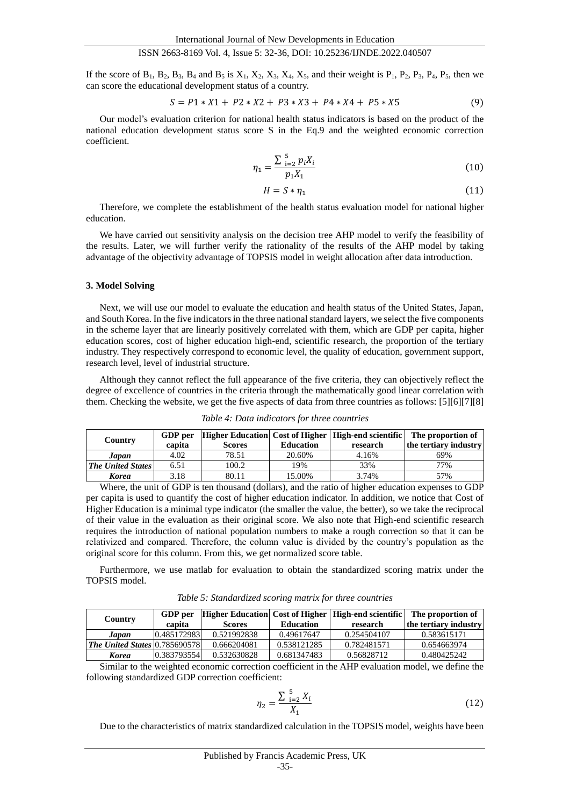#### ISSN 2663-8169 Vol. 4, Issue 5: 32-36, DOI: 10.25236/IJNDE.2022.040507

If the score of  $B_1$ ,  $B_2$ ,  $B_3$ ,  $B_4$  and  $B_5$  is  $X_1$ ,  $X_2$ ,  $X_3$ ,  $X_4$ ,  $X_5$ , and their weight is  $P_1$ ,  $P_2$ ,  $P_3$ ,  $P_4$ ,  $P_5$ , then we can score the educational development status of a country.

$$
S = P1 * X1 + P2 * X2 + P3 * X3 + P4 * X4 + P5 * X5
$$
\n<sup>(9)</sup>

Our model's evaluation criterion for national health status indicators is based on the product of the national education development status score S in the Eq.9 and the weighted economic correction coefficient.

$$
\eta_1 = \frac{\sum_{i=2}^{5} p_i X_i}{p_1 X_1} \tag{10}
$$

$$
H = S * \eta_1 \tag{11}
$$

Therefore, we complete the establishment of the health status evaluation model for national higher education.

We have carried out sensitivity analysis on the decision tree AHP model to verify the feasibility of the results. Later, we will further verify the rationality of the results of the AHP model by taking advantage of the objectivity advantage of TOPSIS model in weight allocation after data introduction.

#### **3. Model Solving**

Next, we will use our model to evaluate the education and health status of the United States, Japan, and South Korea. In the five indicators in the three national standard layers, we select the five components in the scheme layer that are linearly positively correlated with them, which are GDP per capita, higher education scores, cost of higher education high-end, scientific research, the proportion of the tertiary industry. They respectively correspond to economic level, the quality of education, government support, research level, level of industrial structure.

Although they cannot reflect the full appearance of the five criteria, they can objectively reflect the degree of excellence of countries in the criteria through the mathematically good linear correlation with them. Checking the website, we get the five aspects of data from three countries as follows: [5][6][7][8]

| Country                  | GDP per |               |                  | Higher Education Cost of Higher   High-end scientific   The proportion of |                       |
|--------------------------|---------|---------------|------------------|---------------------------------------------------------------------------|-----------------------|
|                          | capita  | <b>Scores</b> | <b>Education</b> | research                                                                  | the tertiary industry |
| Japan                    | 4.02    | 78.51         | 20.60%           | 4.16%                                                                     | 69%                   |
| <b>The United States</b> | 6.51    | 100.2         | 19%              | 33%                                                                       | 77%                   |
| <b>Korea</b>             | 3.18    | 80.11         | 15.00%           | 3.74%                                                                     | 57%                   |

*Table 4: Data indicators for three countries*

Where, the unit of GDP is ten thousand (dollars), and the ratio of higher education expenses to GDP per capita is used to quantify the cost of higher education indicator. In addition, we notice that Cost of Higher Education is a minimal type indicator (the smaller the value, the better), so we take the reciprocal of their value in the evaluation as their original score. We also note that High-end scientific research requires the introduction of national population numbers to make a rough correction so that it can be relativized and compared. Therefore, the column value is divided by the country's population as the original score for this column. From this, we get normalized score table.

Furthermore, we use matlab for evaluation to obtain the standardized scoring matrix under the TOPSIS model.

*Table 5: Standardized scoring matrix for three countries*

|                                      | <b>GDP</b> per |               |                  | Higher Education  Cost of Higher   High-end scientific   The proportion of |                       |
|--------------------------------------|----------------|---------------|------------------|----------------------------------------------------------------------------|-----------------------|
| Country<br>capita                    |                | <b>Scores</b> | <b>Education</b> | research                                                                   | the tertiary industry |
| Japan                                | 0.485172983    | 0.521992838   | 0.49617647       | 0.254504107                                                                | 0.583615171           |
| <b>The United States 0.785690578</b> |                | 0.666204081   | 0.538121285      | 0.782481571                                                                | 0.654663974           |
| Korea                                | 0.383793554    | 0.532630828   | 0.681347483      | 0.56828712                                                                 | 0.480425242           |

Similar to the weighted economic correction coefficient in the AHP evaluation model, we define the following standardized GDP correction coefficient:

$$
\eta_2 = \frac{\sum_{i=2}^{5} X_i}{X_1} \tag{12}
$$

Due to the characteristics of matrix standardized calculation in the TOPSIS model, weights have been